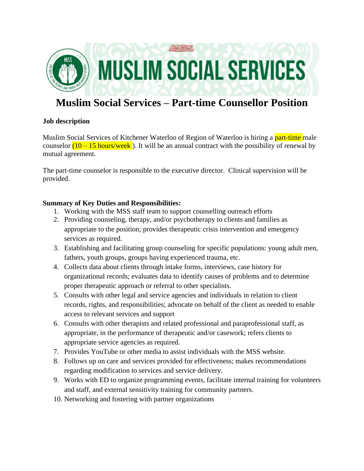

# **Muslim Social Services – Part-time Counsellor Position**

### **Job description**

Muslim Social Services of Kitchener Waterloo of Region of Waterloo is hiring a part-time male counselor  $(10 - 15$  hours/week). It will be an annual contract with the possibility of renewal by mutual agreement.

The part-time counselor is responsible to the executive director. Clinical supervision will be provided.

#### **Summary of Key Duties and Responsibilities:**

- 1. Working with the MSS staff team to support counselling outreach efforts
- 2. Providing counseling, therapy, and/or psychotherapy to clients and families as appropriate to the position; provides therapeutic crisis intervention and emergency services as required.
- 3. Establishing and facilitating group counseling for specific populations: young adult men, fathers, youth groups, groups having experienced trauma, etc.
- 4. Collects data about clients through intake forms, interviews, case history for organizational records; evaluates data to identify causes of problems and to determine proper therapeutic approach or referral to other specialists.
- 5. Consults with other legal and service agencies and individuals in relation to client records, rights, and responsibilities; advocate on behalf of the client as needed to enable access to relevant services and support
- 6. Consults with other therapists and related professional and paraprofessional staff, as appropriate, in the performance of therapeutic and/or casework; refers clients to appropriate service agencies as required.
- 7. Provides YouTube or other media to assist individuals with the MSS website.
- 8. Follows up on care and services provided for effectiveness; makes recommendations regarding modification to services and service delivery.
- 9. Works with ED to organize programming events, facilitate internal training for volunteers and staff, and external sensitivity training for community partners.
- 10. Networking and fostering with partner organizations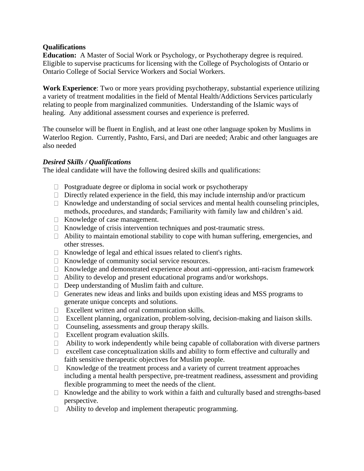### **Qualifications**

**Education:** A Master of Social Work or Psychology, or Psychotherapy degree is required. Eligible to supervise practicums for licensing with the College of Psychologists of Ontario or Ontario College of Social Service Workers and Social Workers.

**Work Experience**: Two or more years providing psychotherapy, substantial experience utilizing a variety of treatment modalities in the field of Mental Health/Addictions Services particularly relating to people from marginalized communities. Understanding of the Islamic ways of healing. Any additional assessment courses and experience is preferred.

The counselor will be fluent in English, and at least one other language spoken by Muslims in Waterloo Region. Currently, Pashto, Farsi, and Dari are needed; Arabic and other languages are also needed

### *Desired Skills / Qualifications*

The ideal candidate will have the following desired skills and qualifications:

- $\Box$  Postgraduate degree or diploma in social work or psychotherapy
- $\Box$  Directly related experience in the field, this may include internship and/or practicum
- $\Box$  Knowledge and understanding of social services and mental health counseling principles, methods, procedures, and standards; Familiarity with family law and children's aid.
- □ Knowledge of case management.
- $\Box$  Knowledge of crisis intervention techniques and post-traumatic stress.
- $\Box$  Ability to maintain emotional stability to cope with human suffering, emergencies, and other stresses.
- $\Box$  Knowledge of legal and ethical issues related to client's rights.
- $\Box$  Knowledge of community social service resources.
- $\Box$  Knowledge and demonstrated experience about anti-oppression, anti-racism framework
- $\Box$  Ability to develop and present educational programs and/or workshops.
- $\Box$  Deep understanding of Muslim faith and culture.
- $\Box$  Generates new ideas and links and builds upon existing ideas and MSS programs to generate unique concepts and solutions.
- $\Box$  Excellent written and oral communication skills.
- Excellent planning, organization, problem-solving, decision-making and liaison skills.
- $\Box$  Counseling, assessments and group therapy skills.
- $\Box$  Excellent program evaluation skills.
- $\Box$  Ability to work independently while being capable of collaboration with diverse partners
- $\Box$  excellent case conceptualization skills and ability to form effective and culturally and faith sensitive therapeutic objectives for Muslim people.
- $\Box$  Knowledge of the treatment process and a variety of current treatment approaches including a mental health perspective, pre-treatment readiness, assessment and providing flexible programming to meet the needs of the client.
- $\Box$  Knowledge and the ability to work within a faith and culturally based and strengths-based perspective.
- $\Box$  Ability to develop and implement therapeutic programming.